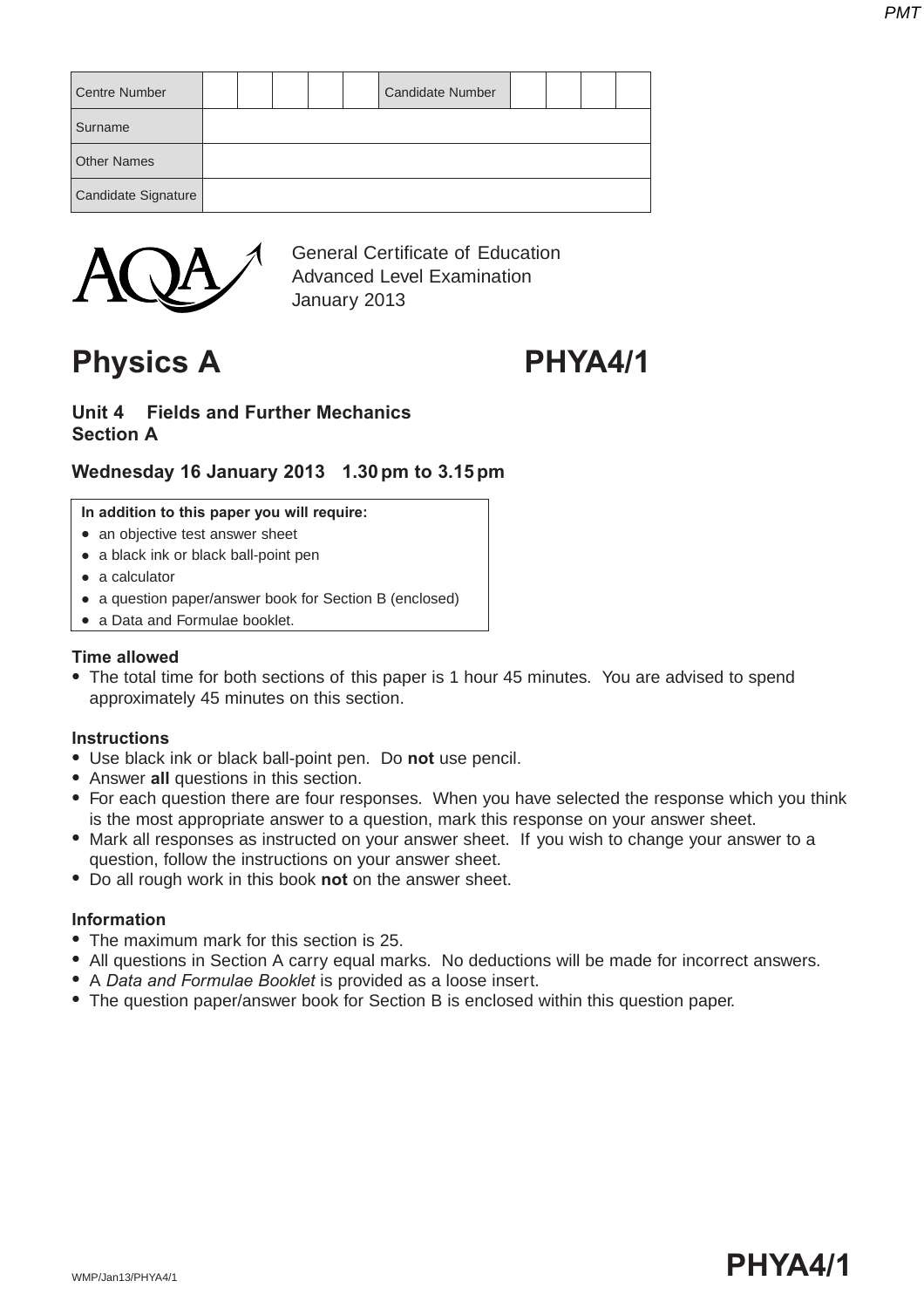| <b>Centre Number</b> |  |  | <b>Candidate Number</b> |  |  |
|----------------------|--|--|-------------------------|--|--|
| Surname              |  |  |                         |  |  |
| <b>Other Names</b>   |  |  |                         |  |  |
| Candidate Signature  |  |  |                         |  |  |



General Certificate of Education Advanced Level Examination January 2013

**Physics A PHYA4/1**

### **Unit 4 Fields and Further Mechanics Section A**

# **Wednesday 16 January 2013 1.30 pm to 3.15 pm**

#### **In addition to this paper you will require:**

- an objective test answer sheet
- a black ink or black ball-point pen
- $\bullet$  a calculator
- a question paper/answer book for Section B (enclosed)
- a Data and Formulae booklet.

#### **Time allowed**

• The total time for both sections of this paper is 1 hour 45 minutes. You are advised to spend approximately 45 minutes on this section.

#### **Instructions**

- **.** Use black ink or black ball-point pen. Do not use pencil.
- Answer all questions in this section.
- For each question there are four responses. When you have selected the response which you think is the most appropriate answer to a question, mark this response on your answer sheet.
- Mark all responses as instructed on your answer sheet. If you wish to change your answer to a question, follow the instructions on your answer sheet.
- Do all rough work in this book not on the answer sheet.

### **Information**

- The maximum mark for this section is 25.
- All questions in Section A carry equal marks. No deductions will be made for incorrect answers.
- A *Data and Formulae Booklet* is provided as a loose insert.
- The question paper/answer book for Section B is enclosed within this question paper.

# wmp/Jan13/PHYA4/1  $\blacksquare$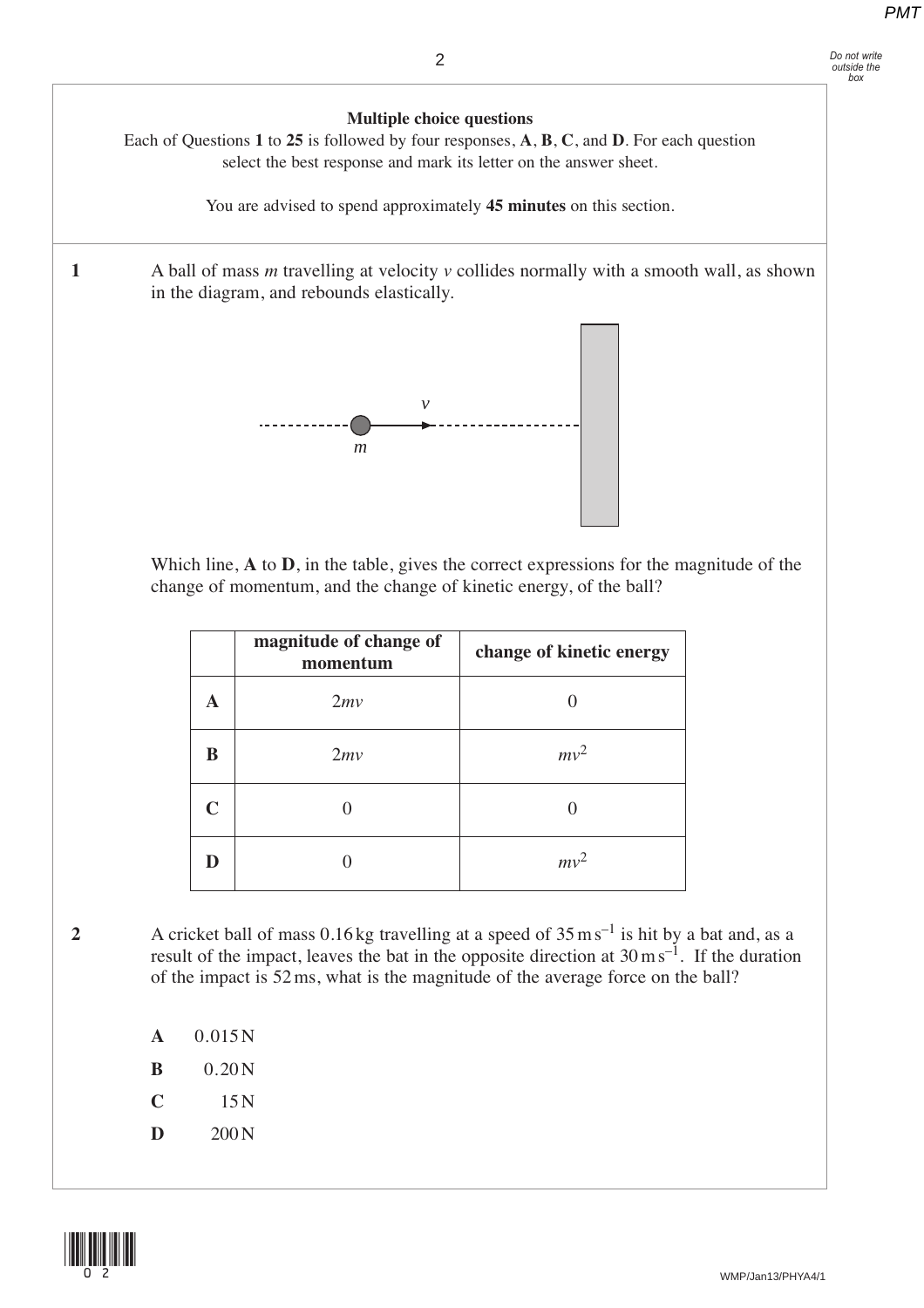

 Which line, **A** to **D**, in the table, gives the correct expressions for the magnitude of the change of momentum, and the change of kinetic energy, of the ball?

|             | magnitude of change of<br>momentum | change of kinetic energy |
|-------------|------------------------------------|--------------------------|
| A           | 2mv                                |                          |
| B           | 2mv                                | $mv^2$                   |
| $\mathbf C$ |                                    |                          |
| D           |                                    | $mv^2$                   |

**2** A cricket ball of mass 0.16 kg travelling at a speed of 35 m s–1 is hit by a bat and, as a result of the impact, leaves the bat in the opposite direction at  $30 \text{ m s}^{-1}$ . If the duration of the impact is 52 ms, what is the magnitude of the average force on the ball?

- **A** 0.015 N
- **B**  $0.20 N$
- $C = 15N$
- $D = 200 N$

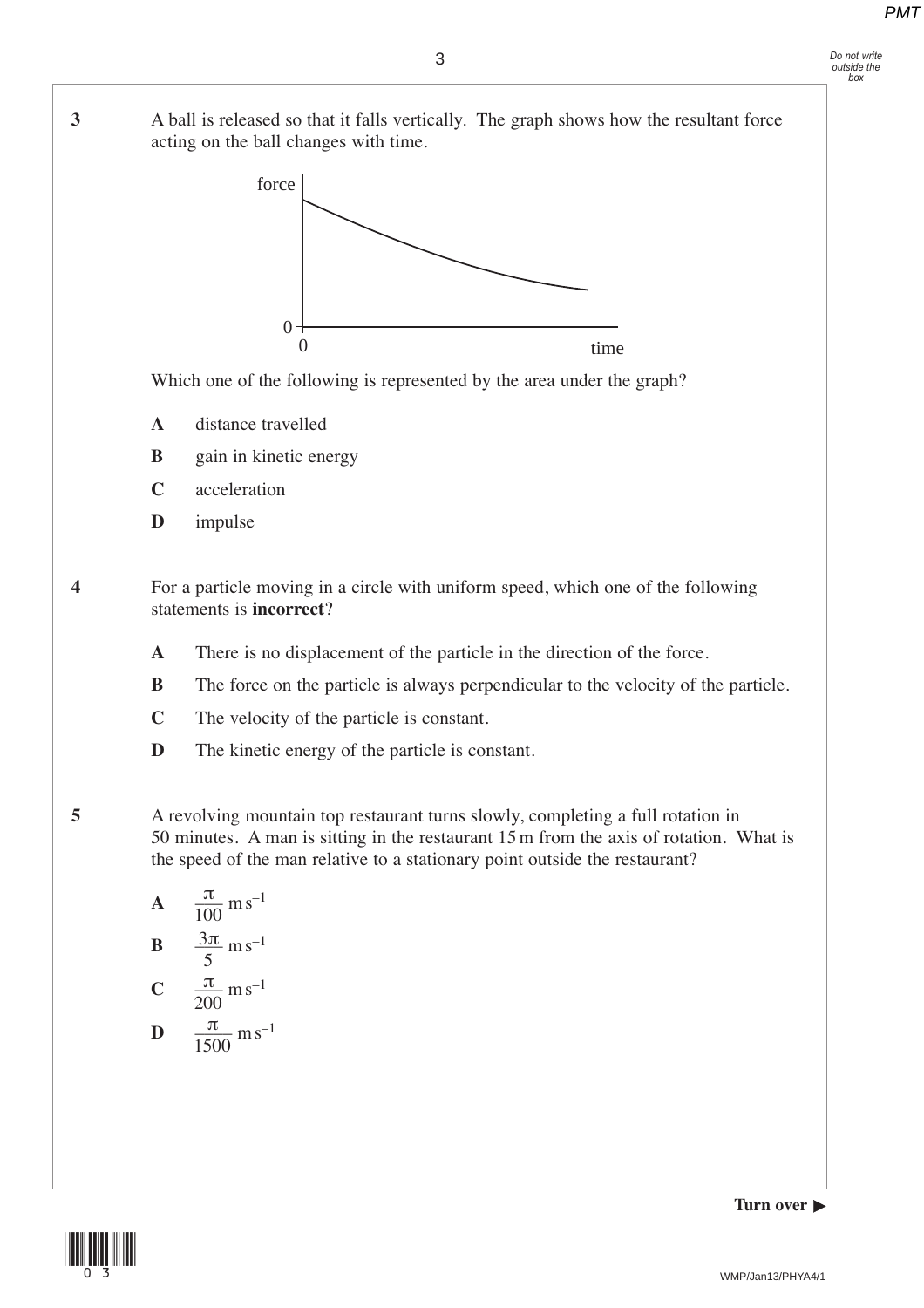#### *Do not write outside the box*

**3** A ball is released so that it falls vertically. The graph shows how the resultant force acting on the ball changes with time.



Which one of the following is represented by the area under the graph?

- **A** distance travelled
- **B** gain in kinetic energy
- **C** acceleration
- **D** impulse

**4** For a particle moving in a circle with uniform speed, which one of the following statements is **incorrect**?

- **A** There is no displacement of the particle in the direction of the force.
- **B** The force on the particle is always perpendicular to the velocity of the particle.
- **C** The velocity of the particle is constant.
- **D** The kinetic energy of the particle is constant.

**5** A revolving mountain top restaurant turns slowly, completing a full rotation in 50 minutes. A man is sitting in the restaurant 15 m from the axis of rotation. What is the speed of the man relative to a stationary point outside the restaurant?

**A** 
$$
\frac{\pi}{100}
$$
 m s<sup>-1</sup>  
\n**B**  $\frac{3\pi}{5}$  m s<sup>-1</sup>  
\n**C**  $\frac{\pi}{200}$  m s<sup>-1</sup>  
\n**D**  $\frac{\pi}{1500}$  m s<sup>-1</sup>

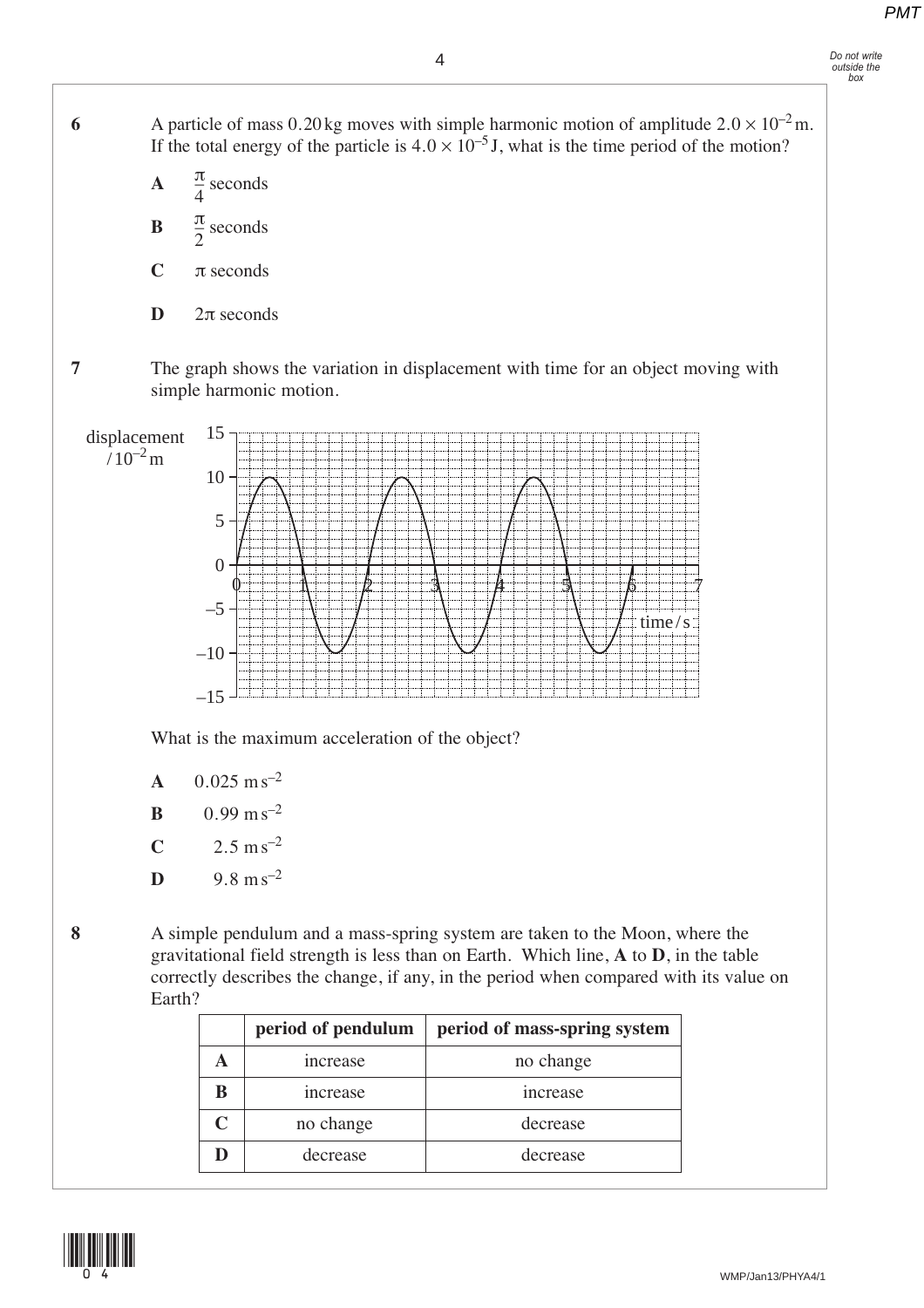6 **A** particle of mass  $0.20 \text{ kg}$  moves with simple harmonic motion of amplitude  $2.0 \times 10^{-2} \text{ m}$ . If the total energy of the particle is  $4.0 \times 10^{-5}$  J, what is the time period of the motion?

- **A**  $\frac{\pi}{4}$  seconds  $\mathbf{B} = \frac{\pi}{2}$  seconds **C** π seconds 4 2
	- **D**  $2π$  seconds

**7** The graph shows the variation in displacement with time for an object moving with simple harmonic motion.



What is the maximum acceleration of the object?

- $A = 0.025$  m s<sup>-2</sup>
- **B**  $0.99 \text{ m s}^{-2}$
- **C**  $2.5 \text{ m s}^{-2}$
- **D** 9.8 m s<sup>-2</sup>
- 
- **8** A simple pendulum and a mass-spring system are taken to the Moon, where the gravitational field strength is less than on Earth. Which line, **A** to **D**, in the table correctly describes the change, if any, in the period when compared with its value on Earth?

|   | period of pendulum | period of mass-spring system |
|---|--------------------|------------------------------|
|   | increase           | no change                    |
| B | increase           | increase                     |
| C | no change          | decrease                     |
| D | decrease           | decrease                     |

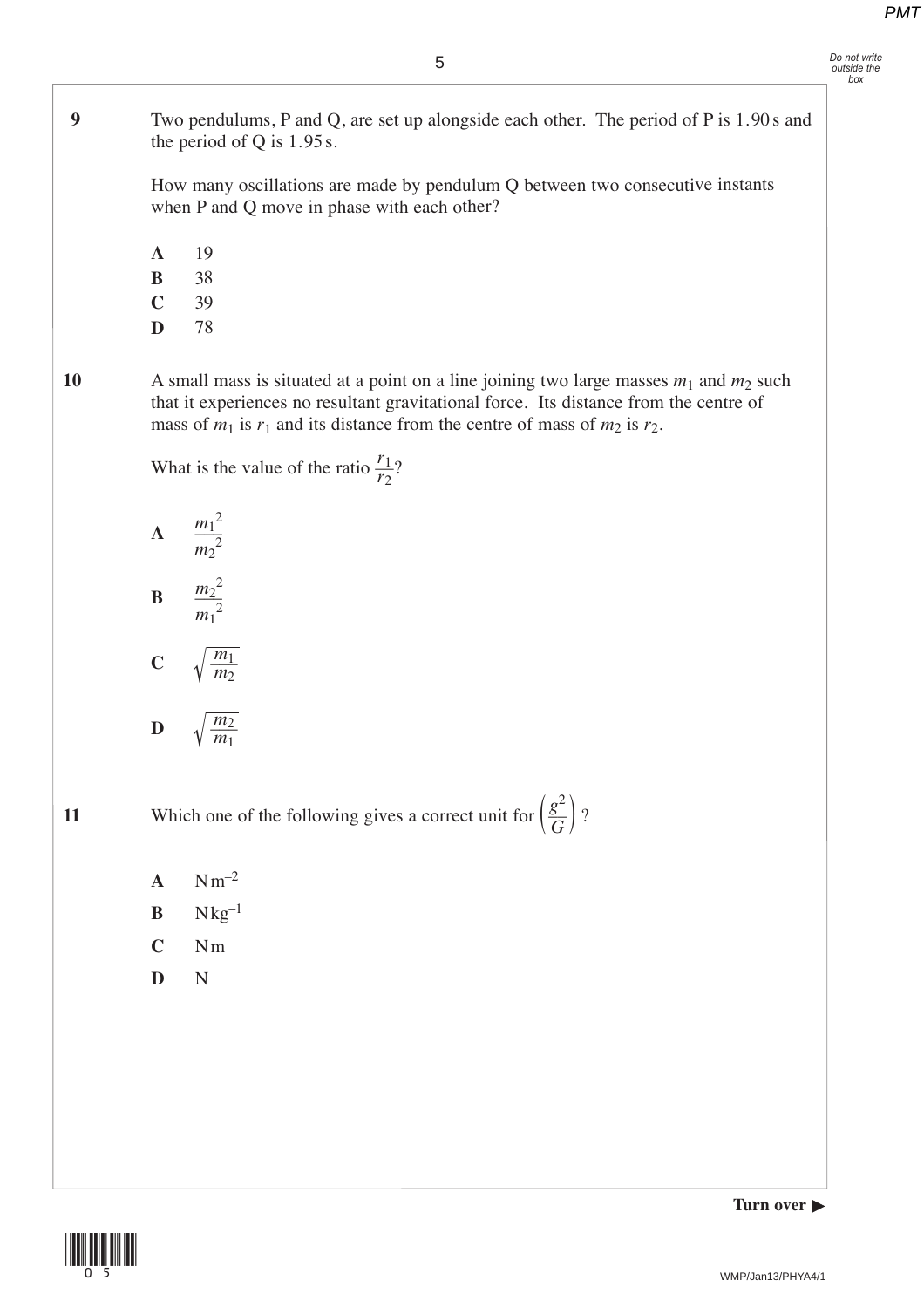**9** Two pendulums, P and Q, are set up alongside each other. The period of P is 1.90 s and the period of Q is 1.95 s.

> How many oscillations are made by pendulum Q between two consecutive instants when P and Q move in phase with each other?

- **A** 19
- **B** 38
- **C** 39
- **D** 78

**10** A small mass is situated at a point on a line joining two large masses *<sup>m</sup>*<sup>1</sup> and *<sup>m</sup>*<sup>2</sup> such that it experiences no resultant gravitational force. Its distance from the centre of mass of  $m_1$  is  $r_1$  and its distance from the centre of mass of  $m_2$  is  $r_2$ .

> What is the value of the ratio  $\frac{r_1}{r_2}$ ? *r*2



 $C \qquad \sqrt{\frac{m_1}{m_2}}$ *m*2

$$
\mathbf{D} \qquad \sqrt{\frac{m_2}{m_1}}
$$

**11** Which one of the following gives a correct unit for  $\left(\frac{g^2}{G}\right)$ ? *G*

- $A$   $Nm^{-2}$
- $\mathbf{B}$  Nkg<sup>-1</sup>
- **C** Nm
- **D** N

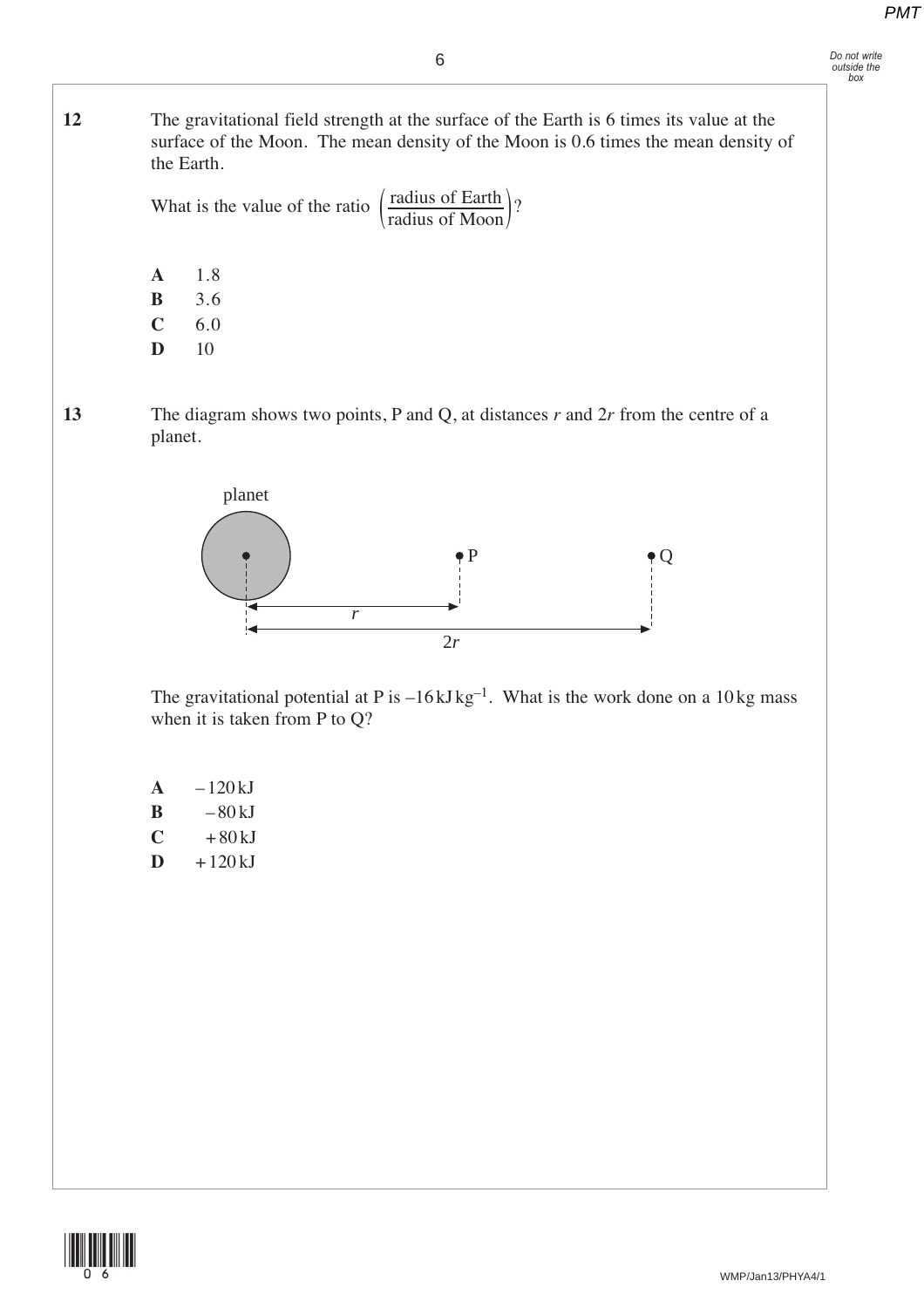# *Do not write outside the box*

6

**12** The gravitational field strength at the surface of the Earth is 6 times its value at the surface of the Moon. The mean density of the Moon is 0.6 times the mean density of the Earth.

What is the value of the ratio  $\left(\frac{\text{radius of Earth}}{\text{if } \text{in } \text{in } M}\right)$ ?  $\left(\frac{\text{radius of Moon}}{\text{$ }}\right)

> **A** 1.8 **B** 3.6

> **C** 6.0

**D** 10

**13** The diagram shows two points, P and Q, at distances *r* and 2*r* from the centre of a planet.



The gravitational potential at P is  $-16 \text{ kJ kg}^{-1}$ . What is the work done on a 10 kg mass when it is taken from P to Q?

 $A = -120 kJ$  $B - 80 kJ$  $C + 80 kJ$  $\mathbf{D}$  + 120 kJ

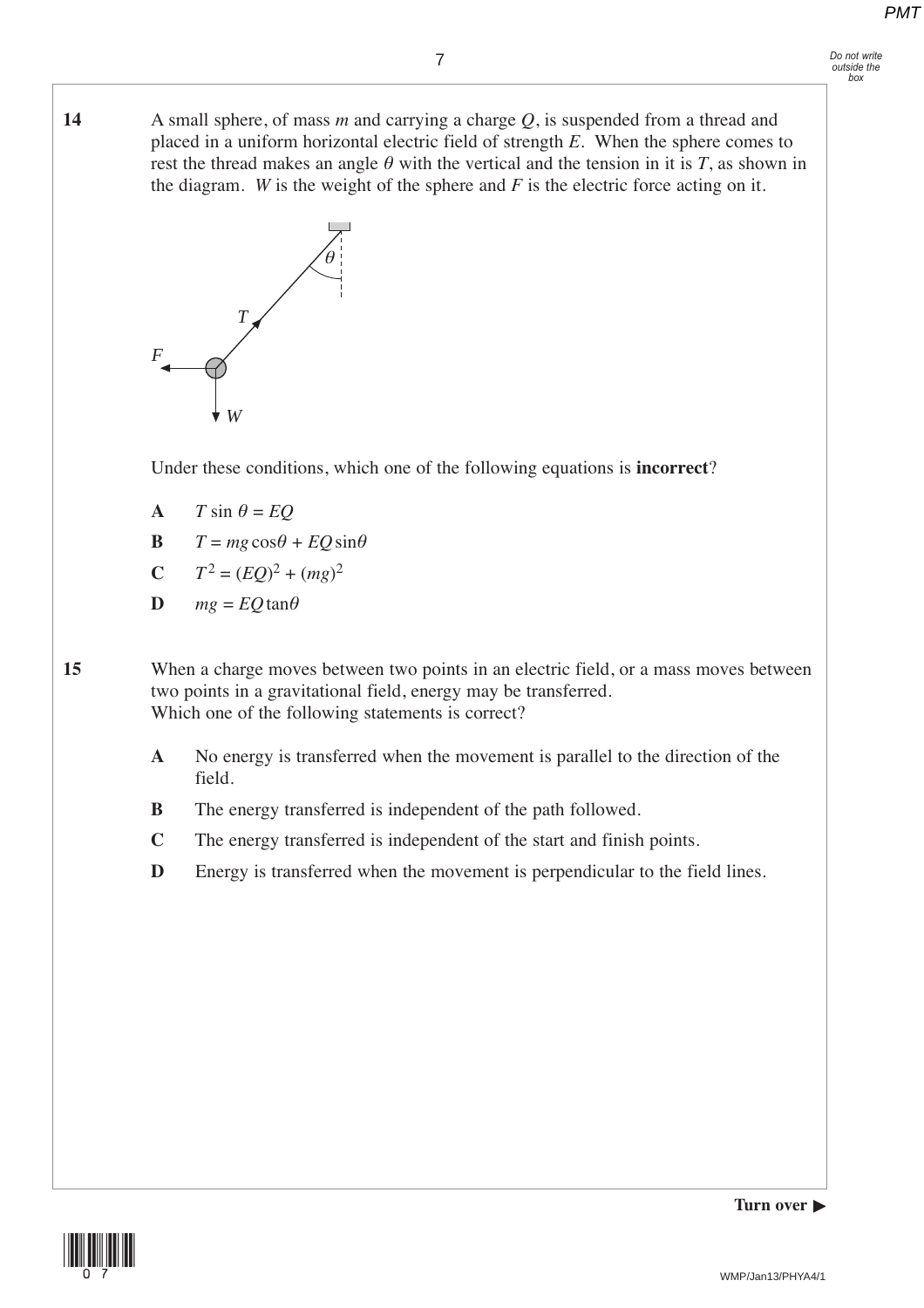**14** A small sphere, of mass *m* and carrying a charge *Q*, is suspended from a thread and placed in a uniform horizontal electric field of strength *E*. When the sphere comes to rest the thread makes an angle  $\theta$  with the vertical and the tension in it is *T*, as shown in the diagram. *W* is the weight of the sphere and  $F$  is the electric force acting on it.



Under these conditions, which one of the following equations is **incorrect**?

- **A**  $T \sin \theta = EQ$
- **B**  $T = mg\cos\theta + EQ\sin\theta$

$$
C \tT^2 = (EQ)^2 + (mg)^2
$$

$$
D \qquad mg = EQ \tan \theta
$$

**15** When a charge moves between two points in an electric field, or a mass moves between two points in a gravitational field, energy may be transferred. Which one of the following statements is correct?

- **A** No energy is transferred when the movement is parallel to the direction of the field.
- **B** The energy transferred is independent of the path followed.
- **C** The energy transferred is independent of the start and finish points.
- **D** Energy is transferred when the movement is perpendicular to the field lines.



**Turn over**  $\blacktriangleright$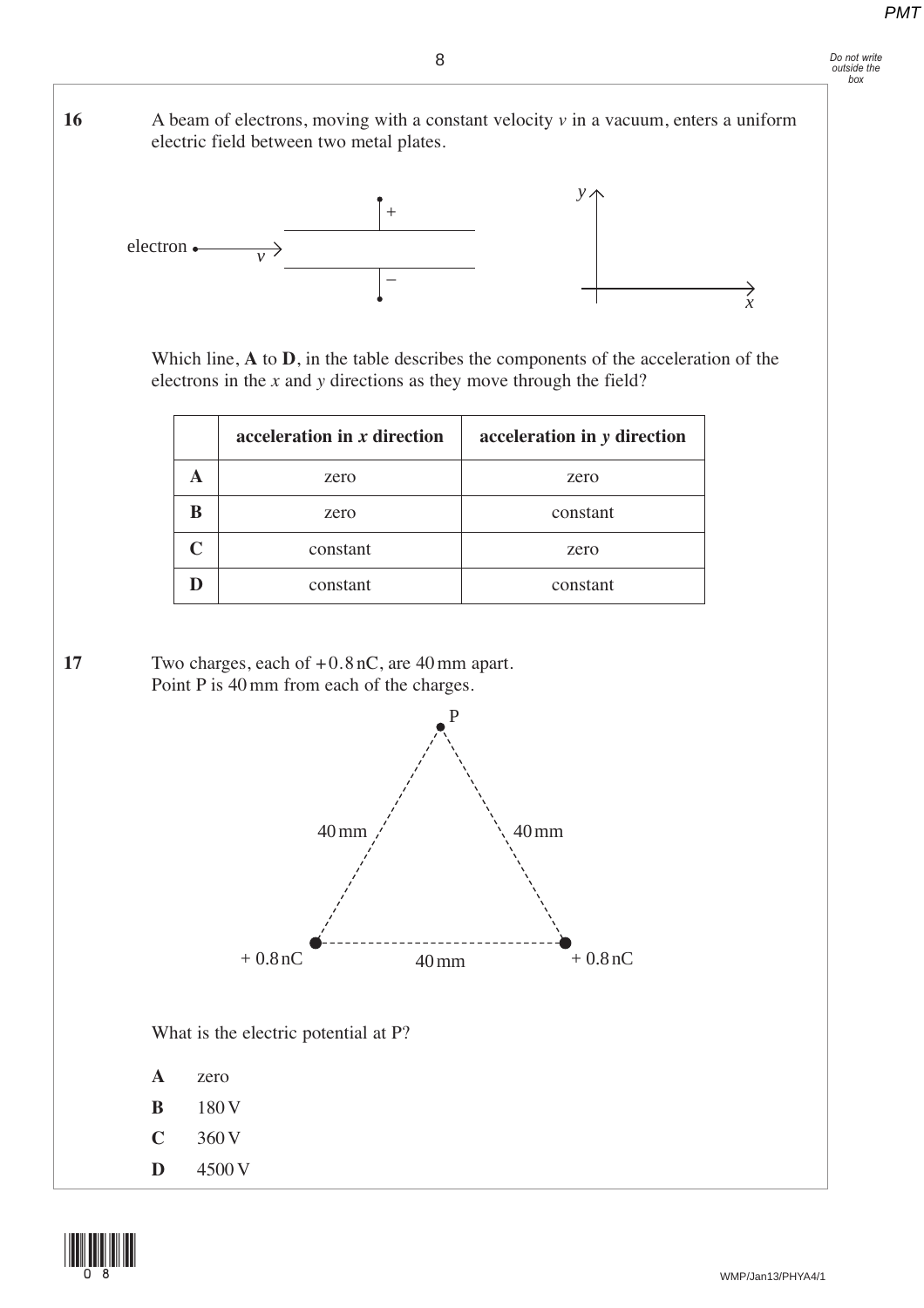# *Do not write outside the box*

**16** A beam of electrons, moving with a constant velocity *v* in a vacuum, enters a uniform electric field between two metal plates.



Which line, **A** to **D**, in the table describes the components of the acceleration of the electrons in the *x* and *y* directions as they move through the field?

|                   | acceleration in x direction | acceleration in y direction |
|-------------------|-----------------------------|-----------------------------|
|                   | zero                        | zero                        |
| R                 | zero                        | constant                    |
| $\mathsf{\Gamma}$ | constant                    | zero                        |
|                   | constant                    | constant                    |

**17** Two charges, each of + 0.8 nC, are 40 mm apart. Point P is  $40 \text{ mm}$  from each of the charges.



What is the electric potential at P?

| А | zero |
|---|------|
|   |      |

- **B** 180 V
- **C** 360 V
- **D** 4500 V

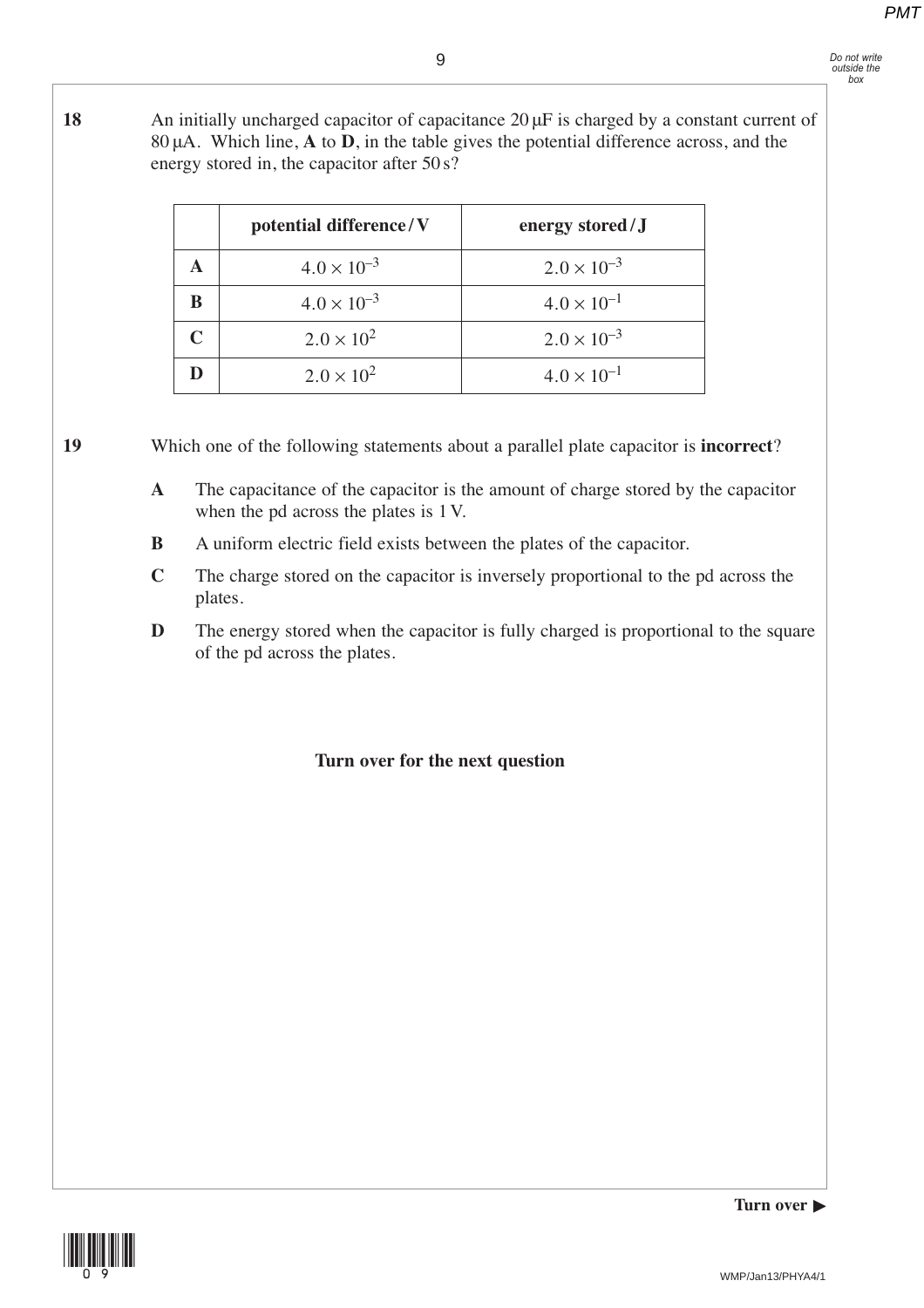**18** An initially uncharged capacitor of capacitance 20 μF is charged by a constant current of 80 μA. Which line, **A** to **D**, in the table gives the potential difference across, and the energy stored in, the capacitor after 50 s?

| potential difference/V | energy stored/J      |
|------------------------|----------------------|
| $4.0 \times 10^{-3}$   | $2.0 \times 10^{-3}$ |
| $4.0 \times 10^{-3}$   | $4.0 \times 10^{-1}$ |
| $2.0 \times 10^{2}$    | $2.0 \times 10^{-3}$ |
| $2.0 \times 10^{2}$    | $4.0 \times 10^{-1}$ |

**19** Which one of the following statements about a parallel plate capacitor is **incorrect**?

- **A** The capacitance of the capacitor is the amount of charge stored by the capacitor when the pd across the plates is 1 V.
- **B** A uniform electric field exists between the plates of the capacitor.
- **C** The charge stored on the capacitor is inversely proportional to the pd across the plates.
- **D** The energy stored when the capacitor is fully charged is proportional to the square of the pd across the plates.

## **Turn over for the next question**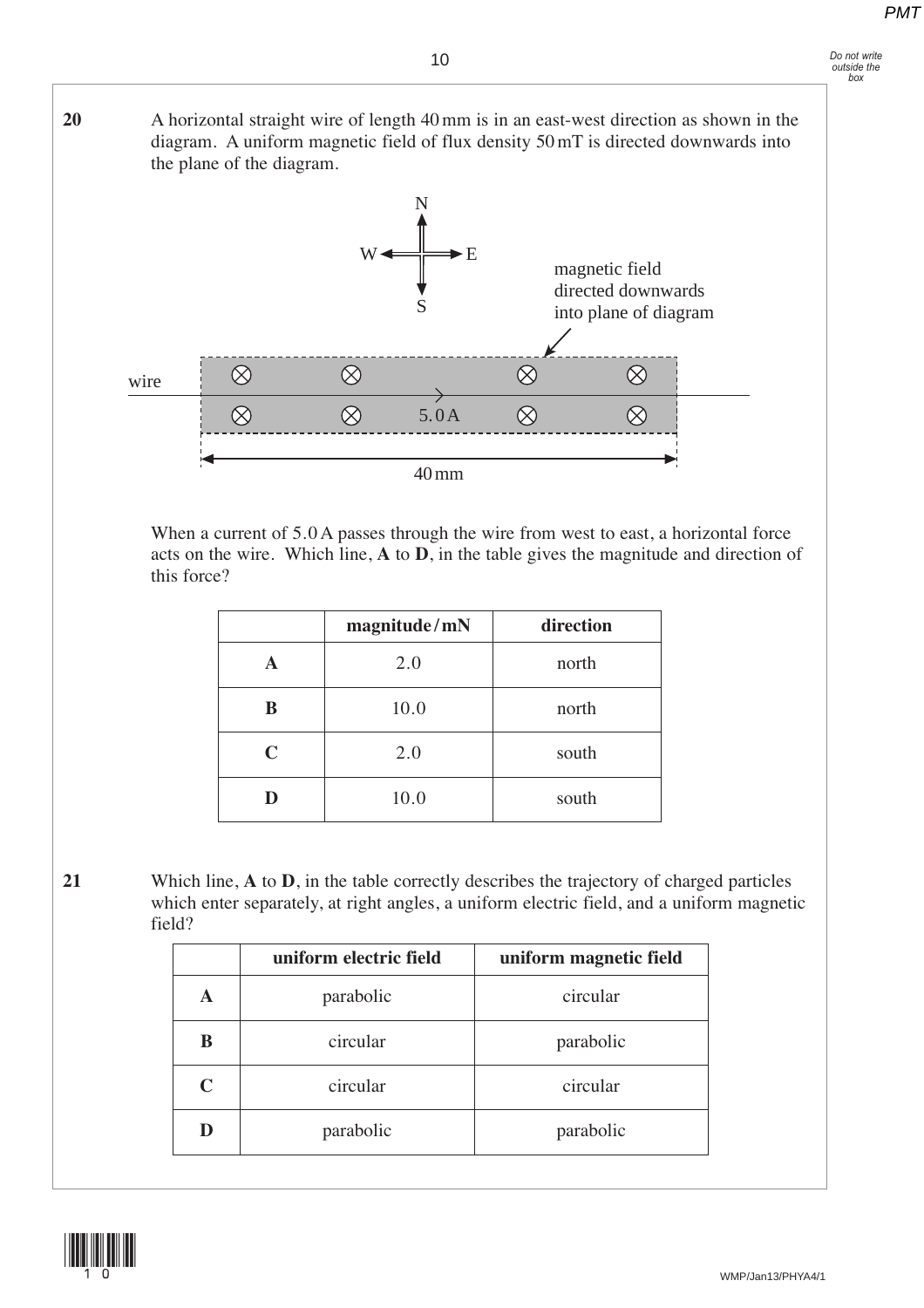#### *Do not write outside the box*

**20** A horizontal straight wire of length 40 mm is in an east-west direction as shown in the diagram. A uniform magnetic field of flux density 50 mT is directed downwards into the plane of the diagram.



When a current of 5.0 A passes through the wire from west to east, a horizontal force acts on the wire. Which line, **A** to **D**, in the table gives the magnitude and direction of this force?

|   | magnitude/mN | direction |
|---|--------------|-----------|
| A | 2.0          | north     |
| B | 10.0         | north     |
| C | 2.0          | south     |
|   | 10.0         | south     |

**21** Which line, **A** to **D**, in the table correctly describes the trajectory of charged particles which enter separately, at right angles, a uniform electric field, and a uniform magnetic field?

|             | uniform electric field | uniform magnetic field |
|-------------|------------------------|------------------------|
| A           | parabolic              | circular               |
| B           | circular               | parabolic              |
| $\mathbf C$ | circular               | circular               |
| D           | parabolic              | parabolic              |

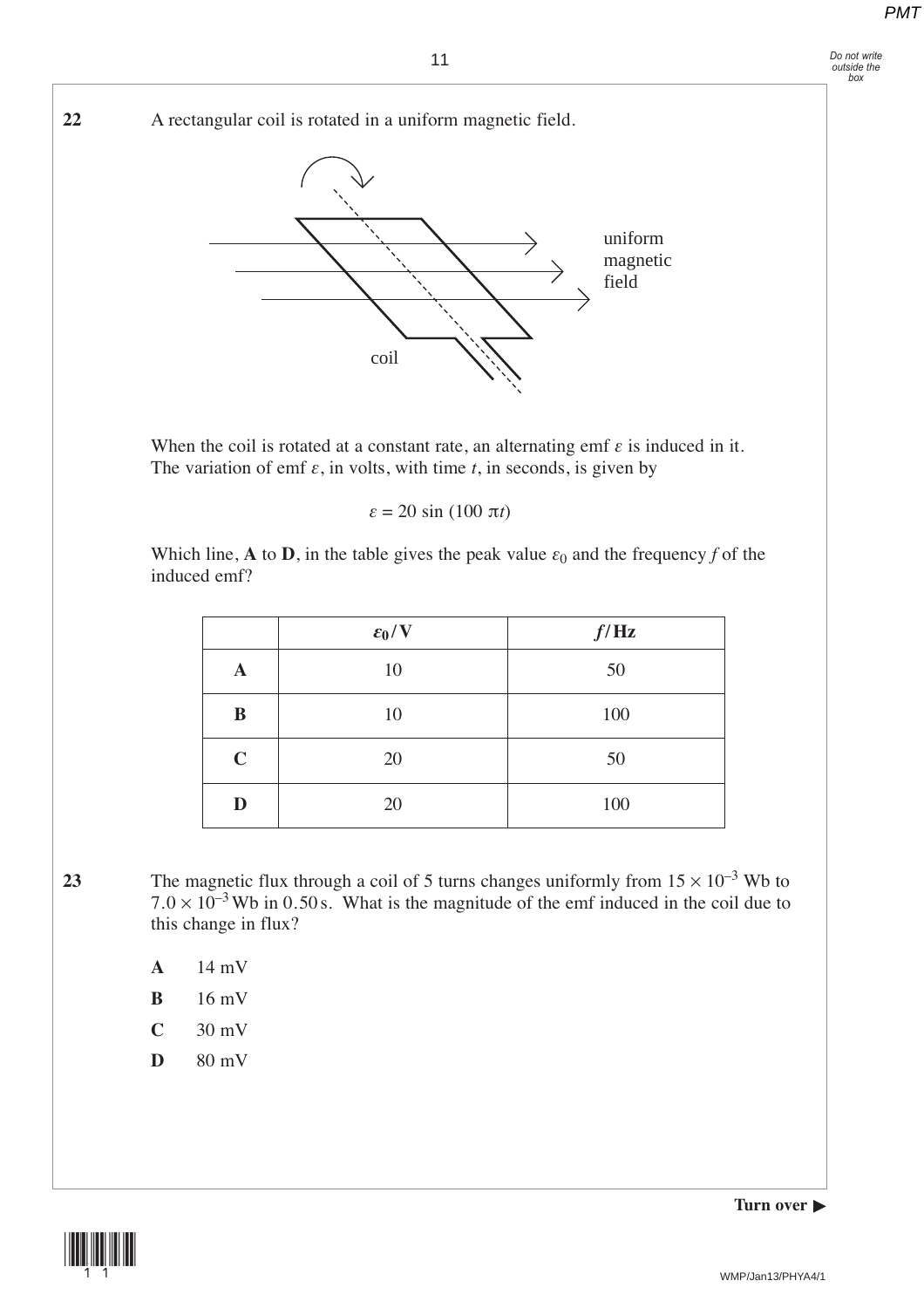*Do not write outside the box*



Which line, **A** to **D**, in the table gives the peak value  $\varepsilon_0$  and the frequency *f* of the induced emf?

|             | $\varepsilon_0/V$ | f/Hz |
|-------------|-------------------|------|
| A           | 10                | 50   |
| B           | 10                | 100  |
| $\mathbf C$ | 20                | 50   |
| D           | 20                | 100  |

23 The magnetic flux through a coil of 5 turns changes uniformly from  $15 \times 10^{-3}$  Wb to  $7.0 \times 10^{-3}$  Wb in 0.50 s. What is the magnitude of the emf induced in the coil due to this change in flux?

- **A** 14 mV
- **B** 16 mV
- **C** 30 mV
- **D** 80 mV



**Turn over**  $\blacktriangleright$